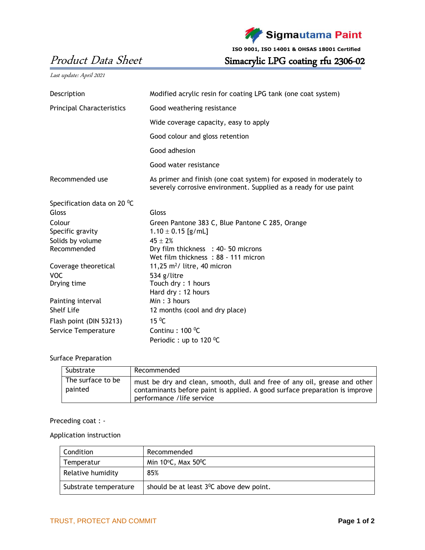

**ISO 9001, ISO 14001 & OHSAS 18001 Certified**

Product Data Sheet Simacrylic LPG coating rfu 2306-02

Last update: April 2021

| Description                             | Modified acrylic resin for coating LPG tank (one coat system)                                                                            |  |  |
|-----------------------------------------|------------------------------------------------------------------------------------------------------------------------------------------|--|--|
| <b>Principal Characteristics</b>        | Good weathering resistance                                                                                                               |  |  |
|                                         | Wide coverage capacity, easy to apply                                                                                                    |  |  |
|                                         | Good colour and gloss retention                                                                                                          |  |  |
|                                         | Good adhesion                                                                                                                            |  |  |
|                                         | Good water resistance                                                                                                                    |  |  |
| Recommended use                         | As primer and finish (one coat system) for exposed in moderately to<br>severely corrosive environment. Supplied as a ready for use paint |  |  |
| Specification data on 20 $\mathrm{^0C}$ |                                                                                                                                          |  |  |
| Gloss                                   | Gloss                                                                                                                                    |  |  |
| Colour                                  | Green Pantone 383 C, Blue Pantone C 285, Orange                                                                                          |  |  |
| Specific gravity                        | $1.10 \pm 0.15$ [g/mL]                                                                                                                   |  |  |
| Solids by volume                        | $45 + 2%$                                                                                                                                |  |  |
| Recommended                             | Dry film thickness : 40-50 microns                                                                                                       |  |  |
|                                         | Wet film thickness: 88 - 111 micron                                                                                                      |  |  |
| Coverage theoretical                    | 11,25 $m^2$ / litre, 40 micron                                                                                                           |  |  |
| <b>VOC</b>                              | 534 g/litre                                                                                                                              |  |  |
| Drying time                             | Touch dry: 1 hours                                                                                                                       |  |  |
|                                         | Hard dry: 12 hours                                                                                                                       |  |  |
| Painting interval                       | Min: 3 hours                                                                                                                             |  |  |
| <b>Shelf Life</b>                       | 12 months (cool and dry place)                                                                                                           |  |  |
| Flash point (DIN 53213)                 | $15 \text{ °C}$                                                                                                                          |  |  |
| Service Temperature                     | Continu : $100 \degree C$                                                                                                                |  |  |
|                                         | Periodic: up to 120 $^0$ C                                                                                                               |  |  |

## Surface Preparation

| Substrate                    | Recommended                                                                                                                                                                            |
|------------------------------|----------------------------------------------------------------------------------------------------------------------------------------------------------------------------------------|
| The surface to be<br>painted | must be dry and clean, smooth, dull and free of any oil, grease and other<br>contaminants before paint is applied. A good surface preparation is improve<br>performance / life service |

Preceding coat : -

Application instruction

| Condition             | Recommended                                          |
|-----------------------|------------------------------------------------------|
| Temperatur            | Min $10^{\circ}$ C, Max $50^{\circ}$ C               |
| Relative humidity     | 85%                                                  |
| Substrate temperature | should be at least 3 <sup>0</sup> C above dew point. |